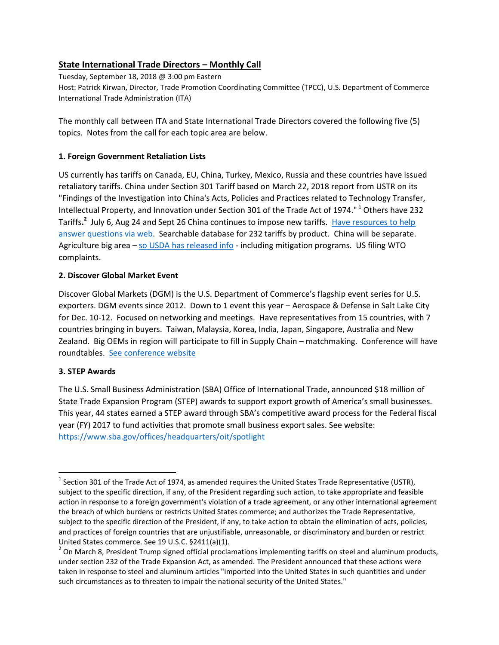# **State International Trade Directors – Monthly Call**

Tuesday, September 18, 2018 @ 3:00 pm Eastern Host: Patrick Kirwan, Director, Trade Promotion Coordinating Committee (TPCC), U.S. Department of Commerce International Trade Administration (ITA)

The monthly call between ITA and State International Trade Directors covered the following five (5) topics. Notes from the call for each topic area are below.

### **1. Foreign Government Retaliation Lists**

US currently has tariffs on Canada, EU, China, Turkey, Mexico, Russia and these countries have issued retaliatory tariffs. China under Section 301 Tariff based on March 22, 2018 report from USTR on its "Findings of the Investigation into China's Acts, Policies and Practices related to Technology Transfer, Intellectual Property, and Innovation under Section 301 of the Trade Act of 1974." <sup>1</sup> Others have 232 Tariffs.<sup>2</sup> July 6, Aug 24 and Sept 26 China continues to impose new tariffs. Have resources to help [answer questions via web.](https://www.cbp.gov/trade/programs-administration/entry-summary/232-tariffs-aluminum-and-steel/faqs) Searchable database for 232 tariffs by product. China will be separate. Agriculture big area – [so USDA has released info](https://www.usda.gov/media/press-releases/2018/08/27/usda-announces-details-assistance-farmers-impacted-unjustified) - including mitigation programs. US filing WTO complaints.

### **2. Discover Global Market Event**

Discover Global Markets (DGM) is the U.S. Department of Commerce's flagship event series for U.S. exporters. DGM events since 2012. Down to 1 event this year – Aerospace & Defense in Salt Lake City for Dec. 10-12. Focused on networking and meetings. Have representatives from 15 countries, with 7 countries bringing in buyers. Taiwan, Malaysia, Korea, India, Japan, Singapore, Australia and New Zealand. Big OEMs in region will participate to fill in Supply Chain – matchmaking. Conference will have roundtables. [See conference website](https://2016.export.gov/discoverglobalmarkets/)

# **3. STEP Awards**

 $\overline{a}$ 

The U.S. Small Business Administration (SBA) Office of International Trade, announced \$18 million of State Trade Expansion Program (STEP) awards to support export growth of America's small businesses. This year, 44 states earned a STEP award through SBA's competitive award process for the Federal fiscal year (FY) 2017 to fund activities that promote small business export sales. See website: <https://www.sba.gov/offices/headquarters/oit/spotlight>

<sup>&</sup>lt;sup>1</sup> Section 301 of the Trade Act of 1974, as amended requires the United States Trade Representative (USTR), subject to the specific direction, if any, of the President regarding such action, to take appropriate and feasible action in response to a foreign government's violation of a trade agreement, or any other international agreement the breach of which burdens or restricts United States commerce; and authorizes the Trade Representative, subject to the specific direction of the President, if any, to take action to obtain the elimination of acts, policies, and practices of foreign countries that are unjustifiable, unreasonable, or discriminatory and burden or restrict United States commerce. See 19 U.S.C. §2411(a)(1).

 $^2$  On March 8, President Trump signed official proclamations implementing tariffs on steel and aluminum products, under section 232 of the Trade Expansion Act, as amended. The President announced that these actions were taken in response to steel and aluminum articles "imported into the United States in such quantities and under such circumstances as to threaten to impair the national security of the United States."